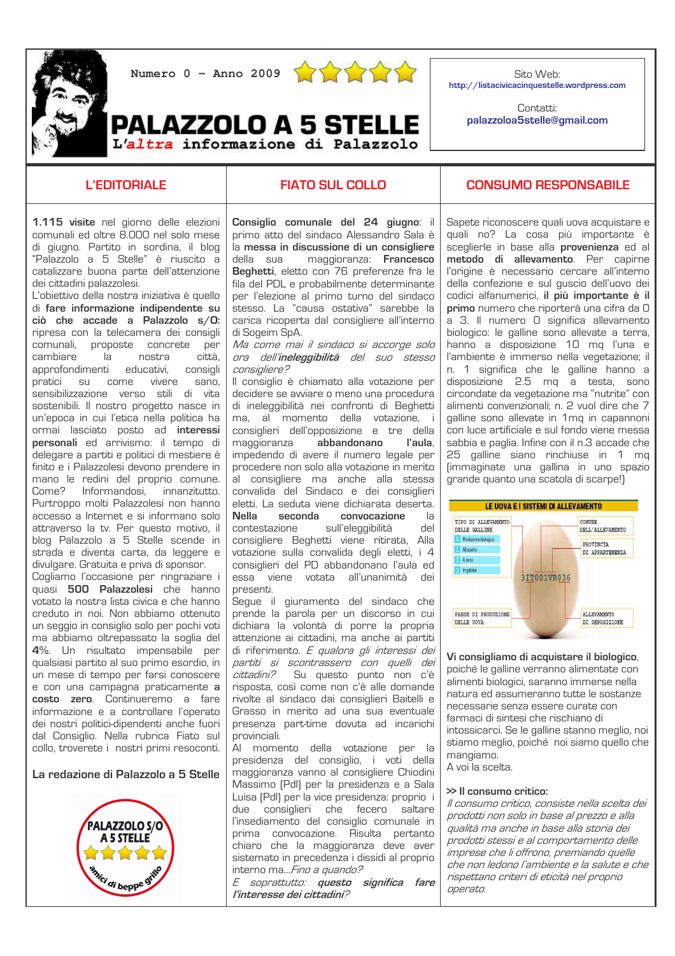

**PALAZZOLO A 5 STELLE** 

L'altra informazione di Palazzolo



Sito Web: http://listacivicacinquestelle.wordpress.com

> Contatti: palazzoloa5stelle@gmail.com

# **L'EDITORIALE**

# **FIATO SUL COLLO**

1.115 visite nel giorno delle elezioni comunali ed oltre 8.000 nel solo mese di giugno. Partito in sordina, il blog "Palazzolo a 5 Stelle" è riuscito a catalizzare buona parte dell'attenzione dei cittadini palazzolesi.

L'obiettivo della nostra iniziativa è quello di fare informazione indipendente su ciò che accade a Palazzolo  $s/O$ : ripresa con la telecamera dei consigli comunali, proposte concrete per cambiare la nostra città. approfondimenti educativi. consiali pratici su come vivere sano. sensibilizzazione verso stili di vita sostenibili. Il nostro progetto nasce in un'enoca in cui l'etica nella politica ha ormai lasciato posto ad **interessi** personali ed arrivismo: il tempo di delegare a partiti e politici di mestiere è finito e i Palazzolesi devono prendere in mano le redini del proprio comune. Come? Informandosi. .<br>innanzitutto. Purtroppo molti Palazzolesi non hanno accesso a Internet e si informano solo attraverso la tv. Per questo motivo, il blog Palazzolo a 5 Stelle scende in strada e diventa carta, da leggere e divulgare. Gratuita e priva di sponsor.

Cogliamo l'occasione per ringraziare i quasi 500 Palazzolesi che hanno votato la nostra lista civica e che hanno creduto in noi. Non abbiamo ottenuto un seggio in consiglio solo per pochi voti ma abbiamo oltrepassato la soglia del 4%. Un risultato impensabile per qualsiasi partito al suo primo esordio, in un mese di tempo per farsi conoscere e con una campagna praticamente a costo zero. Continueremo a fare informazione e a controllare l'operato dei nostri politici-dipendenti anche fuori dal Consiglio. Nella rubrica Fiato sul collo, troverete i nostri primi resoconti.

La redazione di Palazzolo a 5 Stelle



Consiglio comunale del 24 giugno: il primo atto del sindaco Alessandro Sala è la messa in discussione di un consigliere della sua maggioranza: Francesco Beghetti, eletto con 76 preferenze fra le fila del PDL e probabilmente determinante per l'elezione al primo turno del sindaco stesso. La "causa ostativa" sarebbe la carica ricoperta dal consigliere all'interno di Sogeim SpA.

Ma come mai il sindaco si accorge solo ora dell'ineleggibilità del suo stesso consigliere?

Il consiglio è chiamato alla votazione per decidere se avviare o meno una procedura di ineleggibilità nei confronti di Beghetti ma. al momento della votazione, i consiglieri dell'opposizione e tre della maggioranza abbandonano l'aula. impedendo di avere il numero legale per procedere non solo alla votazione in merito al consigliere ma anche alla stessa convalida del Sindaco e dei consiglieri eletti. La seduta viene dichiarata deserta. Nella seconda convocazione  $|a|$ sull'eleggibilità contestazione del consigliere Beghetti viene ritirata, Alla votazione sulla convalida degli eletti, i 4 consiglieri del PD abbandonano l'aula ed essa viene votata all'unanimità dei presenti.

Segue il giuramento del sindaco che prende la parola per un discorso in cui dichiara la volontà di porre la propria attenzione ai cittadini, ma anche ai partiti di riferimento. E qualora gli interessi dei partiti si scontrassero con quelli dei *.<br>cittadini?* Su questo punto non c'è risposta, così come non c'è alle domande rivolte al sindaco dai consiglieri Baitelli e Grasso in merito ad una sua eventuale presenza part-time dovuta ad incarichi provinciali.

Al momento della votazione per la presidenza del consiglio, i voti della maggioranza vanno al consigliere Chiodini Massimo (Pdl) per la presidenza e a Sala Luisa (PdI) per la vice presidenza; proprio i due consiglieri che fecero saltare l'insediamento del consiglio comunale in prima convocazione. Risulta pertanto chiaro che la maggioranza deve aver sistemato in precedenza i dissidi al proprio interno ma...*Fino a quando?* 

E soprattutto: questo significa fare l'interesse dei cittadini?

### **CONSUMO RESPONSABILE**

Sapete riconoscere quali uova acquistare e quali no? La cosa più importante è sceglierle in base alla provenienza ed al metodo di allevamento. Per capirne l'origine è necessario cercare all'interno della confezione e sul quscio dell'uovo dei codici alfanumerici, il più importante è il primo numero che riporterà una cifra da O a 3. Il numero O significa allevamento biologico: le galline sono allevate a terra. hanno a disposizione 10 mq l'una e l'ambiente è immerso nella vegetazione: il n. 1 significa che le galline hanno a disposizione 2.5 mg a testa, sono circondate da vegetazione ma "nutrite" con alimenti convenzionali: n. 2 vuol dire che 7 galline sono allevate in 1mg in capannoni con luce artificiale e sul fondo viene messa sabbia e paglia. Infine con il n.3 accade che 25 galline siano rinchiuse in 1 mg [immaginate una gallina in uno spazio grande quanto una scatola di scarpe!)



Vi consigliamo di acquistare il biologico, poiché le galline verranno alimentate con alimenti biologici, saranno immerse nella natura ed assumeranno tutte le sostanze necessarie senza essere curate con farmaci di sintesi che rischiano di intossicarci. Se le galline stanno meglio, noi stiamo meglio, poiché noi siamo quello che mangiamo.  $\Delta$  voi la scelta

#### >> Il consumo critico:

Il consumo critico, consiste nella scelta dei prodotti non solo in base al prezzo e alla qualità ma anche in base alla storia dei l .<br>prodotti stessi e al comportamento delle ,<br>imprese che li offrono, premiando quelle che non ledono l'ambiente e la salute e che rispettano criteri di eticità nel proprio operato.